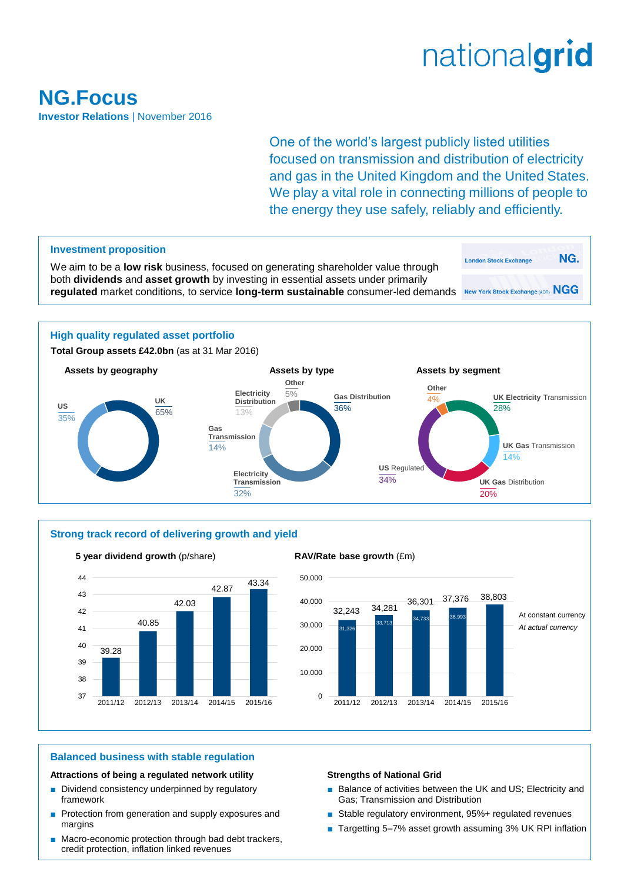# nationalgrid

### **NG.Focus Investor Relations** | November 2016

One of the world's largest publicly listed utilities focused on transmission and distribution of electricity and gas in the United Kingdom and the United States. We play a vital role in connecting millions of people to the energy they use safely, reliably and efficiently.





### **5 year dividend growth** (p/share) **RAV/Rate base growth** (£m)



### **Balanced business with stable regulation**

### **Attractions of being a regulated network utility**

- Dividend consistency underpinned by regulatory framework
- Protection from generation and supply exposures and margins
- Macro-economic protection through bad debt trackers, credit protection, inflation linked revenues

### **Strengths of National Grid**

- Balance of activities between the UK and US; Electricity and Gas; Transmission and Distribution
- Stable regulatory environment, 95%+ regulated revenues
- Targetting 5-7% asset growth assuming 3% UK RPI inflation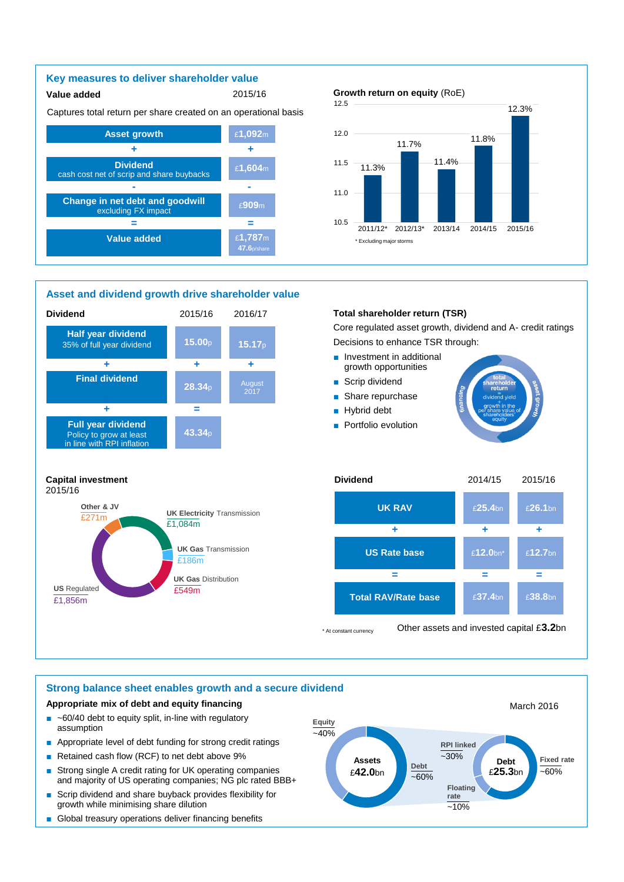### **Key measures to deliver shareholder value**

### **Value added** 2015/16

Captures total return per share created on an operational basis



### **Asset and dividend growth drive shareholder value**



### **Growth return on equity** (RoE)



### **Total shareholder return (TSR)**

Core regulated asset growth, dividend and A- credit ratings Decisions to enhance TSR through:



#### **UK RAV US Rate base - = + Total RAV/Rate base + = + =** £**25.4**bn £**12.0**bn\* £**37.4**bn £**26.1**bn £**12.7**bn £**38.8**bn **=**

\* At constant currency Other assets and invested capital £**3.2**bn

### **Strong balance sheet enables growth and a secure dividend**

**UK Electricity** Transmission

**UK Gas** Transmission

**UK Gas** Distribution

 $\overline{f1.084m}$ 

£186m

### **Appropriate mix of debt and equity financing**

US Regulated **200 COVID-1999** 

**Other & JV** 

£271m

£1,856m

2015/16

- $\blacksquare$  ~60/40 debt to equity split, in-line with regulatory assumption
- Appropriate level of debt funding for strong credit ratings
- Retained cash flow (RCF) to net debt above 9%
- Strong single A credit rating for UK operating companies and majority of US operating companies; NG plc rated BBB+
- Scrip dividend and share buyback provides flexibility for growth while minimising share dilution
- Global treasury operations deliver financing benefits

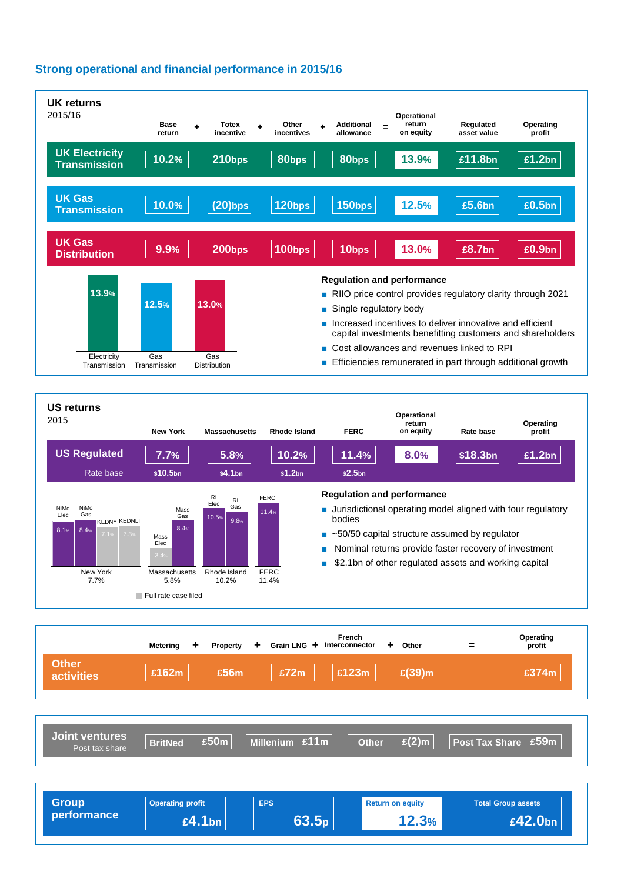### **Strong operational and financial performance in 2015/16**



| <b>Group</b><br>performance | <b>Operating profit</b> | <b>EPS</b>      | <b>Return on equity</b> | <b>Total Group assets</b> |
|-----------------------------|-------------------------|-----------------|-------------------------|---------------------------|
|                             | £4.1 <sub>bn</sub>      | .5 <sub>b</sub> | 12.3%                   | £42.0bn                   |